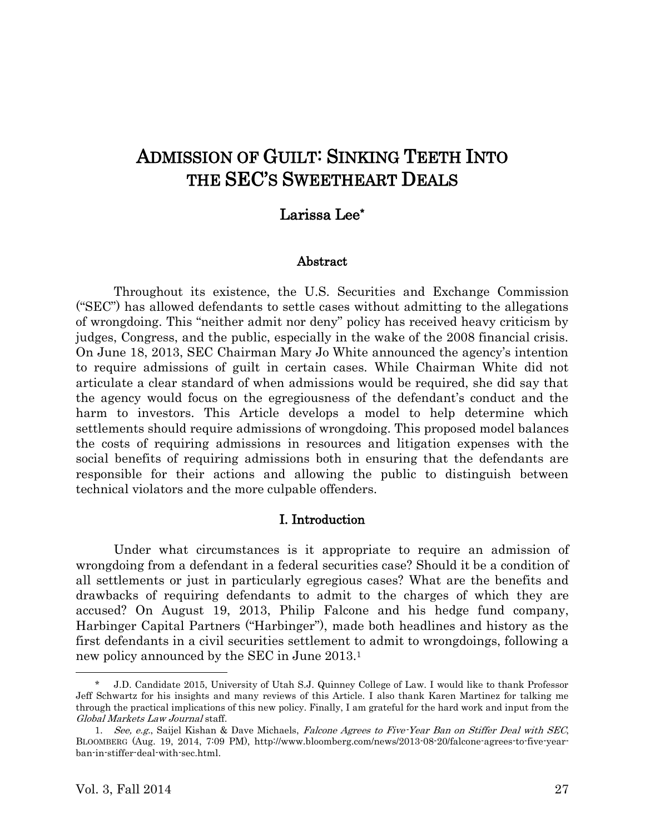# ADMISSION OF GUILT: SINKING TEETH INTO THE SEC'S SWEETHEART DEALS

# Larissa Lee\*

#### Abstract

Throughout its existence, the U.S. Securities and Exchange Commission ("SEC") has allowed defendants to settle cases without admitting to the allegations of wrongdoing. This "neither admit nor deny" policy has received heavy criticism by judges, Congress, and the public, especially in the wake of the 2008 financial crisis. On June 18, 2013, SEC Chairman Mary Jo White announced the agency's intention to require admissions of guilt in certain cases. While Chairman White did not articulate a clear standard of when admissions would be required, she did say that the agency would focus on the egregiousness of the defendant's conduct and the harm to investors. This Article develops a model to help determine which settlements should require admissions of wrongdoing. This proposed model balances the costs of requiring admissions in resources and litigation expenses with the social benefits of requiring admissions both in ensuring that the defendants are responsible for their actions and allowing the public to distinguish between technical violators and the more culpable offenders.

#### I. Introduction

Under what circumstances is it appropriate to require an admission of wrongdoing from a defendant in a federal securities case? Should it be a condition of all settlements or just in particularly egregious cases? What are the benefits and drawbacks of requiring defendants to admit to the charges of which they are accused? On August 19, 2013, Philip Falcone and his hedge fund company, Harbinger Capital Partners ("Harbinger"), made both headlines and history as the first defendants in a civil securities settlement to admit to wrongdoings, following a new policy announced by the SEC in June 2013. 1

<sup>\*</sup> J.D. Candidate 2015, University of Utah S.J. Quinney College of Law. I would like to thank Professor Jeff Schwartz for his insights and many reviews of this Article. I also thank Karen Martinez for talking me through the practical implications of this new policy. Finally, I am grateful for the hard work and input from the Global Markets Law Journal staff.

<sup>1.</sup> See, e.g., Saijel Kishan & Dave Michaels, Falcone Agrees to Five-Year Ban on Stiffer Deal with SEC, BLOOMBERG (Aug. 19, 2014, 7:09 PM), http://www.bloomberg.com/news/2013-08-20/falcone-agrees-to-five-yearban-in-stiffer-deal-with-sec.html.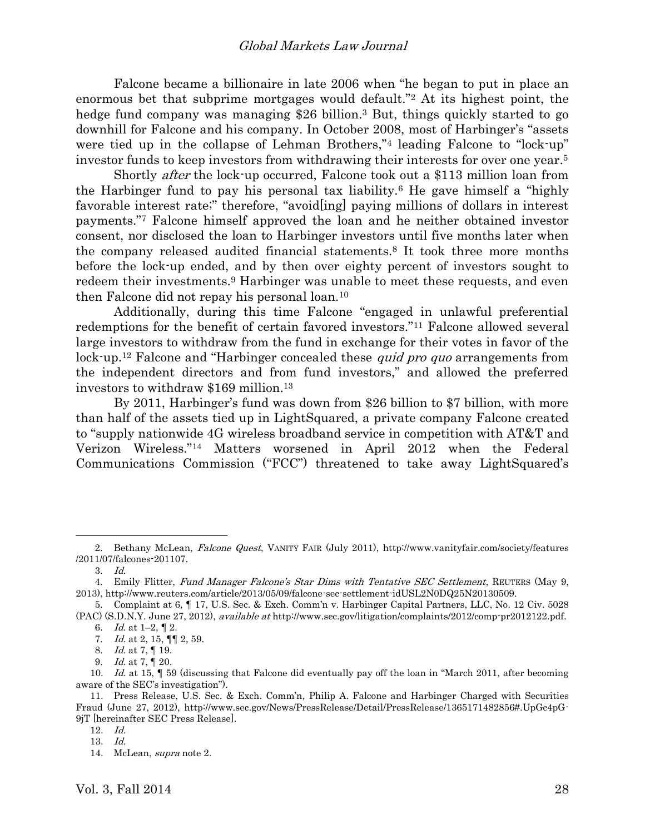<span id="page-1-0"></span>Falcone became a billionaire in late 2006 when "he began to put in place an enormous bet that subprime mortgages would default."<sup>2</sup> At its highest point, the hedge fund company was managing \$26 billion. <sup>3</sup> But, things quickly started to go downhill for Falcone and his company. In October 2008, most of Harbinger's "assets were tied up in the collapse of Lehman Brothers,"<sup>4</sup> leading Falcone to "lock-up" investor funds to keep investors from withdrawing their interests for over one year. 5

Shortly after the lock-up occurred, Falcone took out a \$113 million loan from the Harbinger fund to pay his personal tax liability.<sup>6</sup> He gave himself a "highly favorable interest rate;" therefore, "avoid[ing] paying millions of dollars in interest payments."<sup>7</sup> Falcone himself approved the loan and he neither obtained investor consent, nor disclosed the loan to Harbinger investors until five months later when the company released audited financial statements.<sup>8</sup> It took three more months before the lock-up ended, and by then over eighty percent of investors sought to redeem their investments.<sup>9</sup> Harbinger was unable to meet these requests, and even then Falcone did not repay his personal loan.<sup>10</sup>

Additionally, during this time Falcone "engaged in unlawful preferential redemptions for the benefit of certain favored investors."<sup>11</sup> Falcone allowed several large investors to withdraw from the fund in exchange for their votes in favor of the lock-up.<sup>12</sup> Falcone and "Harbinger concealed these *quid pro quo* arrangements from the independent directors and from fund investors," and allowed the preferred investors to withdraw \$169 million.<sup>13</sup>

By 2011, Harbinger's fund was down from \$26 billion to \$7 billion, with more than half of the assets tied up in LightSquared, a private company Falcone created to "supply nationwide 4G wireless broadband service in competition with AT&T and Verizon Wireless."<sup>14</sup> Matters worsened in April 2012 when the Federal Communications Commission ("FCC") threatened to take away LightSquared's

<sup>2.</sup> Bethany McLean, Falcone Quest, VANITY FAIR (July 2011), http://www.vanityfair.com/society/features /2011/07/falcones-201107.

<sup>3.</sup> Id.

<sup>4.</sup> Emily Flitter, Fund Manager Falcone's Star Dims with Tentative SEC Settlement, REUTERS (May 9, 2013), http://www.reuters.com/article/2013/05/09/falcone-sec-settlement-idUSL2N0DQ25N20130509.

<sup>5.</sup> Complaint at 6, ¶ 17, U.S. Sec. & Exch. Comm'n v. Harbinger Capital Partners, LLC, No. 12 Civ. 5028 (PAC) (S.D.N.Y. June 27, 2012), available at http://www.sec.gov/litigation/complaints/2012/comp-pr2012122.pdf.

<sup>6.</sup> *Id.* at 1–2,  $\P$  2.

<sup>7.</sup> *Id.* at 2, 15,  $\P\P$  2, 59.

<sup>8.</sup> *Id.* at 7, 19.

<sup>9.</sup> *Id.* at 7, 1 20.

<sup>10.</sup> Id. at 15,  $\parallel$  59 (discussing that Falcone did eventually pay off the loan in "March 2011, after becoming aware of the SEC's investigation").

<sup>11.</sup> Press Release, U.S. Sec. & Exch. Comm'n, Philip A. Falcone and Harbinger Charged with Securities Fraud (June 27, 2012), http://www.sec.gov/News/PressRelease/Detail/PressRelease/1365171482856#.UpGc4pG-9jT [hereinafter SEC Press Release].

<sup>12.</sup> Id.

<sup>13.</sup> Id.

<sup>14.</sup> McLean, supra note [2.](#page-1-0)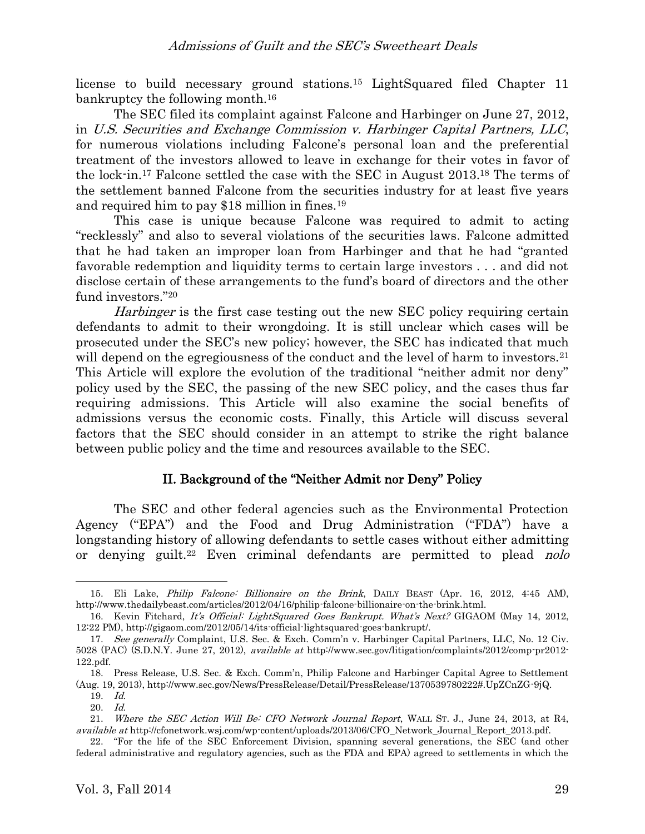license to build necessary ground stations.<sup>15</sup> LightSquared filed Chapter 11 bankruptcy the following month.<sup>16</sup>

The SEC filed its complaint against Falcone and Harbinger on June 27, 2012, in U.S. Securities and Exchange Commission v. Harbinger Capital Partners, LLC, for numerous violations including Falcone's personal loan and the preferential treatment of the investors allowed to leave in exchange for their votes in favor of the lock-in. <sup>17</sup> Falcone settled the case with the SEC in August 2013. <sup>18</sup> The terms of the settlement banned Falcone from the securities industry for at least five years and required him to pay \$18 million in fines.<sup>19</sup>

<span id="page-2-0"></span>This case is unique because Falcone was required to admit to acting "recklessly" and also to several violations of the securities laws. Falcone admitted that he had taken an improper loan from Harbinger and that he had "granted favorable redemption and liquidity terms to certain large investors . . . and did not disclose certain of these arrangements to the fund's board of directors and the other fund investors."<sup>20</sup>

Harbinger is the first case testing out the new SEC policy requiring certain defendants to admit to their wrongdoing. It is still unclear which cases will be prosecuted under the SEC's new policy; however, the SEC has indicated that much will depend on the egregiousness of the conduct and the level of harm to investors.<sup>21</sup> This Article will explore the evolution of the traditional "neither admit nor deny" policy used by the SEC, the passing of the new SEC policy, and the cases thus far requiring admissions. This Article will also examine the social benefits of admissions versus the economic costs. Finally, this Article will discuss several factors that the SEC should consider in an attempt to strike the right balance between public policy and the time and resources available to the SEC.

# <span id="page-2-1"></span>II. Background of the "Neither Admit nor Deny" Policy

The SEC and other federal agencies such as the Environmental Protection Agency ("EPA") and the Food and Drug Administration ("FDA") have a longstanding history of allowing defendants to settle cases without either admitting or denying guilt.<sup>22</sup> Even criminal defendants are permitted to plead *nolo* 

<sup>15.</sup> Eli Lake, Philip Falcone: Billionaire on the Brink, DAILY BEAST (Apr. 16, 2012, 4:45 AM), http://www.thedailybeast.com/articles/2012/04/16/philip-falcone-billionaire-on-the-brink.html.

<sup>16.</sup> Kevin Fitchard, It's Official: LightSquared Goes Bankrupt. What's Next? GIGAOM (May 14, 2012, 12:22 PM), http://gigaom.com/2012/05/14/its-official-lightsquared-goes-bankrupt/.

<sup>17.</sup> See generally Complaint, U.S. Sec. & Exch. Comm'n v. Harbinger Capital Partners, LLC, No. 12 Civ. 5028 (PAC) (S.D.N.Y. June 27, 2012), available at http://www.sec.gov/litigation/complaints/2012/comp-pr2012- 122.pdf.

<sup>18.</sup> Press Release, U.S. Sec. & Exch. Comm'n, Philip Falcone and Harbinger Capital Agree to Settlement (Aug. 19, 2013), http://www.sec.gov/News/PressRelease/Detail/PressRelease/1370539780222#.UpZCnZG-9jQ.

<sup>19.</sup> Id.

<sup>20.</sup> Id.

<sup>21.</sup> Where the SEC Action Will Be: CFO Network Journal Report, WALL ST. J., June 24, 2013, at R4, available at http://cfonetwork.wsj.com/wp-content/uploads/2013/06/CFO\_Network\_Journal\_Report\_2013.pdf.

<sup>22.</sup> "For the life of the SEC Enforcement Division, spanning several generations, the SEC (and other federal administrative and regulatory agencies, such as the FDA and EPA) agreed to settlements in which the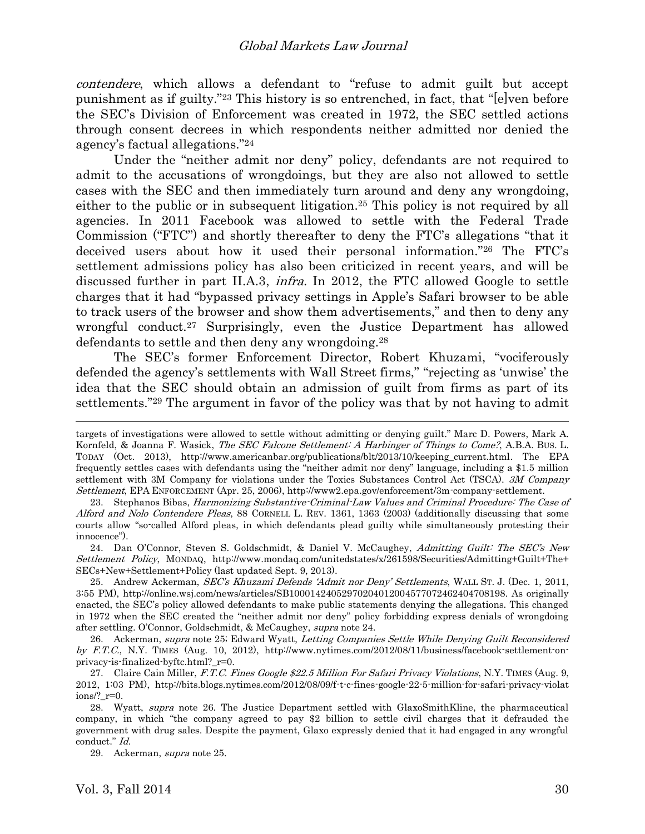<span id="page-3-3"></span>contendere, which allows a defendant to "refuse to admit guilt but accept punishment as if guilty."<sup>23</sup> This history is so entrenched, in fact, that "[e]ven before the SEC's Division of Enforcement was created in 1972, the SEC settled actions through consent decrees in which respondents neither admitted nor denied the agency's factual allegations."<sup>24</sup>

<span id="page-3-2"></span><span id="page-3-1"></span><span id="page-3-0"></span>Under the "neither admit nor deny" policy, defendants are not required to admit to the accusations of wrongdoings, but they are also not allowed to settle cases with the SEC and then immediately turn around and deny any wrongdoing, either to the public or in subsequent litigation. <sup>25</sup> This policy is not required by all agencies. In 2011 Facebook was allowed to settle with the Federal Trade Commission ("FTC") and shortly thereafter to deny the FTC's allegations "that it deceived users about how it used their personal information."<sup>26</sup> The FTC's settlement admissions policy has also been criticized in recent years, and will be discussed further in part II.A.3, infra. In 2012, the FTC allowed Google to settle charges that it had "bypassed privacy settings in Apple's Safari browser to be able to track users of the browser and show them advertisements," and then to deny any wrongful conduct.<sup>27</sup> Surprisingly, even the Justice Department has allowed defendants to settle and then deny any wrongdoing.<sup>28</sup>

The SEC's former Enforcement Director, Robert Khuzami, "vociferously defended the agency's settlements with Wall Street firms," "rejecting as 'unwise' the idea that the SEC should obtain an admission of guilt from firms as part of its settlements."<sup>29</sup> The argument in favor of the policy was that by not having to admit

targets of investigations were allowed to settle without admitting or denying guilt." Marc D. Powers, Mark A. Kornfeld, & Joanna F. Wasick, The SEC Falcone Settlement: A Harbinger of Things to Come?, A.B.A. Bus. L. TODAY (Oct. 2013), http://www.americanbar.org/publications/blt/2013/10/keeping\_current.html. The EPA frequently settles cases with defendants using the "neither admit nor deny" language, including a \$1.5 million settlement with 3M Company for violations under the Toxics Substances Control Act (TSCA). 3M Company Settlement, EPA ENFORCEMENT (Apr. 25, 2006), http://www2.epa.gov/enforcement/3m-company-settlement.

<sup>23.</sup> Stephanos Bibas, Harmonizing Substantive-Criminal-Law Values and Criminal Procedure: The Case of Alford and Nolo Contendere Pleas, 88 CORNELL L. REV. 1361, 1363 (2003) (additionally discussing that some courts allow "so-called Alford pleas, in which defendants plead guilty while simultaneously protesting their innocence").

<sup>24.</sup> Dan O'Connor, Steven S. Goldschmidt, & Daniel V. McCaughey, Admitting Guilt: The SEC's New Settlement Policy, MONDAQ, http://www.mondaq.com/unitedstates/x/261598/Securities/Admitting+Guilt+The+ SECs+New+Settlement+Policy (last updated Sept. 9, 2013).

<sup>25.</sup> Andrew Ackerman, SEC's Khuzami Defends 'Admit nor Deny' Settlements, WALL ST. J. (Dec. 1, 2011, 3:55 PM), http://online.wsj.com/news/articles/SB10001424052970204012004577072462404708198. As originally enacted, the SEC's policy allowed defendants to make public statements denying the allegations. This changed in 1972 when the SEC created the "neither admit nor deny" policy forbidding express denials of wrongdoing after settling. O'Connor, Goldschmidt, & McCaughey, supra note [24.](#page-3-0)

<sup>26.</sup> Ackerman, *supra* note [25;](#page-3-1) Edward Wyatt, *Letting Companies Settle While Denying Guilt Reconsidered* by F.T.C., N.Y. TIMES (Aug. 10, 2012), http://www.nytimes.com/2012/08/11/business/facebook-settlement-onprivacy-is-finalized-byftc.html?\_r=0.

<sup>27.</sup> Claire Cain Miller, F.T.C. Fines Google \$22.5 Million For Safari Privacy Violations, N.Y. TIMES (Aug. 9, 2012, 1:03 PM), http://bits.blogs.nytimes.com/2012/08/09/f-t-c-fines-google-22-5-million-for-safari-privacy-violat ions/?\_r=0.

<sup>28.</sup> Wyatt, supra note [26.](#page-3-2) The Justice Department settled with GlaxoSmithKline, the pharmaceutical company, in which "the company agreed to pay \$2 billion to settle civil charges that it defrauded the government with drug sales. Despite the payment, Glaxo expressly denied that it had engaged in any wrongful conduct." Id.

<sup>29.</sup> Ackerman, supra not[e 25.](#page-3-1)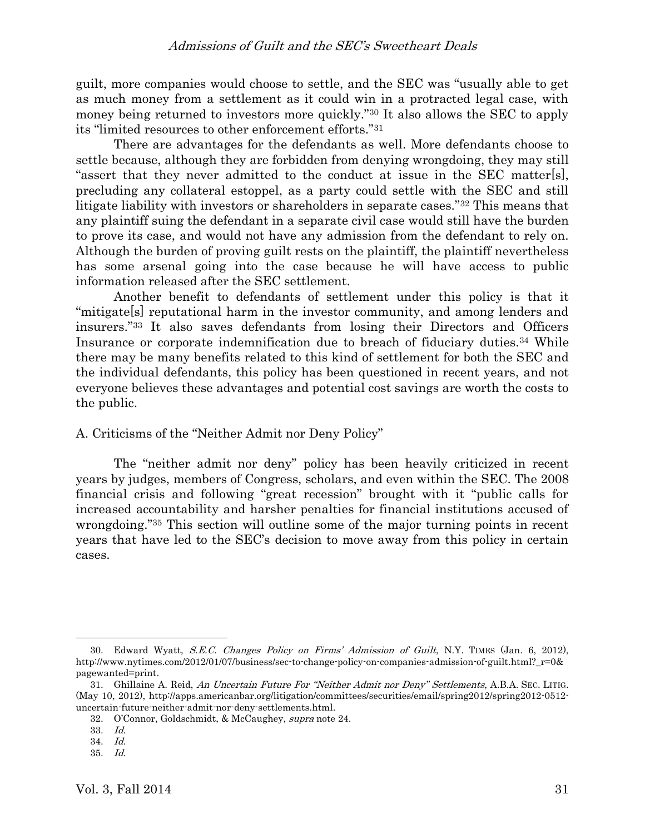guilt, more companies would choose to settle, and the SEC was "usually able to get as much money from a settlement as it could win in a protracted legal case, with money being returned to investors more quickly."<sup>30</sup> It also allows the SEC to apply its "limited resources to other enforcement efforts."<sup>31</sup>

<span id="page-4-0"></span>There are advantages for the defendants as well. More defendants choose to settle because, although they are forbidden from denying wrongdoing, they may still "assert that they never admitted to the conduct at issue in the SEC matter[s], precluding any collateral estoppel, as a party could settle with the SEC and still litigate liability with investors or shareholders in separate cases."<sup>32</sup> This means that any plaintiff suing the defendant in a separate civil case would still have the burden to prove its case, and would not have any admission from the defendant to rely on. Although the burden of proving guilt rests on the plaintiff, the plaintiff nevertheless has some arsenal going into the case because he will have access to public information released after the SEC settlement.

Another benefit to defendants of settlement under this policy is that it "mitigate[s] reputational harm in the investor community, and among lenders and insurers."<sup>33</sup> It also saves defendants from losing their Directors and Officers Insurance or corporate indemnification due to breach of fiduciary duties.<sup>34</sup> While there may be many benefits related to this kind of settlement for both the SEC and the individual defendants, this policy has been questioned in recent years, and not everyone believes these advantages and potential cost savings are worth the costs to the public.

## A. Criticisms of the "Neither Admit nor Deny Policy"

The "neither admit nor deny" policy has been heavily criticized in recent years by judges, members of Congress, scholars, and even within the SEC. The 2008 financial crisis and following "great recession" brought with it "public calls for increased accountability and harsher penalties for financial institutions accused of wrongdoing."<sup>35</sup> This section will outline some of the major turning points in recent years that have led to the SEC's decision to move away from this policy in certain cases.

<sup>30.</sup> Edward Wyatt, S.E.C. Changes Policy on Firms' Admission of Guilt, N.Y. TIMES (Jan. 6, 2012), http://www.nytimes.com/2012/01/07/business/sec-to-change-policy-on-companies-admission-of-guilt.html? r=0& pagewanted=print.

<sup>31.</sup> Ghillaine A. Reid, An Uncertain Future For "Neither Admit nor Deny" Settlements, A.B.A. SEC. LITIG. (May 10, 2012), http://apps.americanbar.org/litigation/committees/securities/email/spring2012/spring2012-0512 uncertain-future-neither-admit-nor-deny-settlements.html.

<sup>32.</sup> O'Connor, Goldschmidt, & McCaughey, supra note [24.](#page-3-0)

<sup>33.</sup> Id.

<sup>34.</sup> Id.

<sup>35.</sup> Id.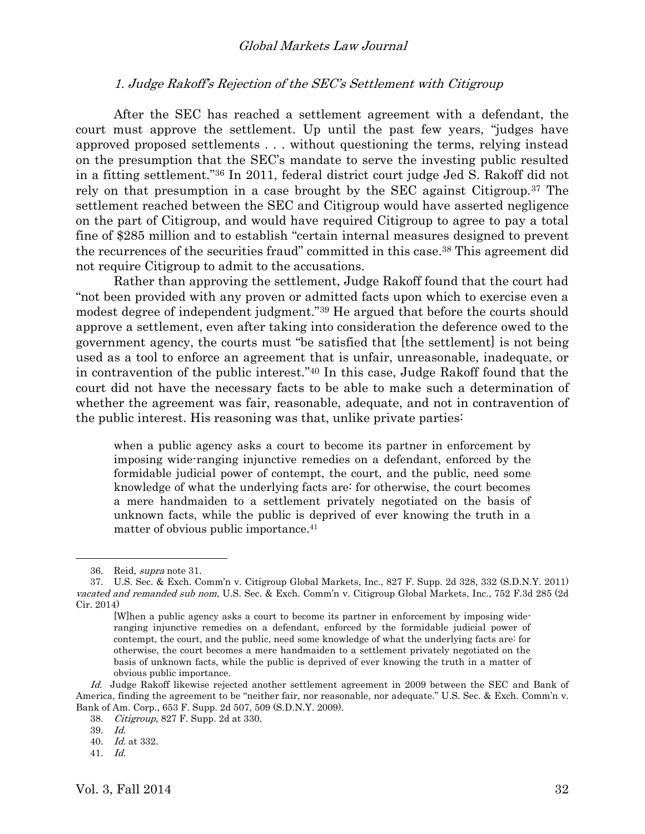#### 1. Judge Rakoff's Rejection of the SEC's Settlement with Citigroup

After the SEC has reached a settlement agreement with a defendant, the court must approve the settlement. Up until the past few years, "judges have approved proposed settlements . . . without questioning the terms, relying instead on the presumption that the SEC's mandate to serve the investing public resulted in a fitting settlement."<sup>36</sup> In 2011, federal district court judge Jed S. Rakoff did not rely on that presumption in a case brought by the SEC against Citigroup.<sup>37</sup> The settlement reached between the SEC and Citigroup would have asserted negligence on the part of Citigroup, and would have required Citigroup to agree to pay a total fine of \$285 million and to establish "certain internal measures designed to prevent the recurrences of the securities fraud" committed in this case.<sup>38</sup> This agreement did not require Citigroup to admit to the accusations.

Rather than approving the settlement, Judge Rakoff found that the court had "not been provided with any proven or admitted facts upon which to exercise even a modest degree of independent judgment."<sup>39</sup> He argued that before the courts should approve a settlement, even after taking into consideration the deference owed to the government agency, the courts must "be satisfied that [the settlement] is not being used as a tool to enforce an agreement that is unfair, unreasonable, inadequate, or in contravention of the public interest." <sup>40</sup> In this case, Judge Rakoff found that the court did not have the necessary facts to be able to make such a determination of whether the agreement was fair, reasonable, adequate, and not in contravention of the public interest. His reasoning was that, unlike private parties:

when a public agency asks a court to become its partner in enforcement by imposing wide-ranging injunctive remedies on a defendant, enforced by the formidable judicial power of contempt, the court, and the public, need some knowledge of what the underlying facts are: for otherwise, the court becomes a mere handmaiden to a settlement privately negotiated on the basis of unknown facts, while the public is deprived of ever knowing the truth in a matter of obvious public importance.<sup>41</sup>

<sup>36.</sup> Reid, supra note [31.](#page-4-0)

<sup>37.</sup> U.S. Sec. & Exch. Comm'n v. Citigroup Global Markets, Inc., 827 F. Supp. 2d 328, 332 (S.D.N.Y. 2011) vacated and remanded sub nom, U.S. Sec. & Exch. Comm'n v. Citigroup Global Markets, Inc., 752 F.3d 285 (2d Cir. 2014)

<sup>[</sup>W]hen a public agency asks a court to become its partner in enforcement by imposing wideranging injunctive remedies on a defendant, enforced by the formidable judicial power of contempt, the court, and the public, need some knowledge of what the underlying facts are: for otherwise, the court becomes a mere handmaiden to a settlement privately negotiated on the basis of unknown facts, while the public is deprived of ever knowing the truth in a matter of obvious public importance.

Id. Judge Rakoff likewise rejected another settlement agreement in 2009 between the SEC and Bank of America, finding the agreement to be "neither fair, nor reasonable, nor adequate." U.S. Sec. & Exch. Comm'n v. Bank of Am. Corp., 653 F. Supp. 2d 507, 509 (S.D.N.Y. 2009).

<sup>38.</sup> Citigroup, 827 F. Supp. 2d at 330.

<sup>39.</sup> Id.

<sup>40.</sup> Id. at 332.

<sup>41.</sup> Id.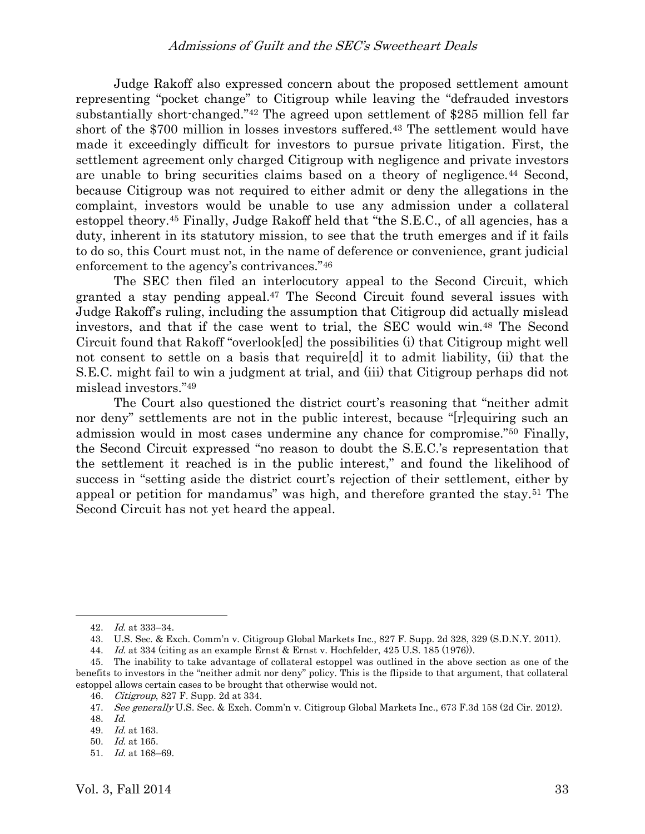Judge Rakoff also expressed concern about the proposed settlement amount representing "pocket change" to Citigroup while leaving the "defrauded investors substantially short-changed."<sup>42</sup> The agreed upon settlement of \$285 million fell far short of the \$700 million in losses investors suffered.<sup>43</sup> The settlement would have made it exceedingly difficult for investors to pursue private litigation. First, the settlement agreement only charged Citigroup with negligence and private investors are unable to bring securities claims based on a theory of negligence.<sup>44</sup> Second, because Citigroup was not required to either admit or deny the allegations in the complaint, investors would be unable to use any admission under a collateral estoppel theory. <sup>45</sup> Finally, Judge Rakoff held that "the S.E.C., of all agencies, has a duty, inherent in its statutory mission, to see that the truth emerges and if it fails to do so, this Court must not, in the name of deference or convenience, grant judicial enforcement to the agency's contrivances."<sup>46</sup>

The SEC then filed an interlocutory appeal to the Second Circuit, which granted a stay pending appeal. <sup>47</sup> The Second Circuit found several issues with Judge Rakoff's ruling, including the assumption that Citigroup did actually mislead investors, and that if the case went to trial, the SEC would win.<sup>48</sup> The Second Circuit found that Rakoff "overlook[ed] the possibilities (i) that Citigroup might well not consent to settle on a basis that require[d] it to admit liability, (ii) that the S.E.C. might fail to win a judgment at trial, and (iii) that Citigroup perhaps did not mislead investors."<sup>49</sup>

The Court also questioned the district court's reasoning that "neither admit nor deny" settlements are not in the public interest, because "[r]equiring such an admission would in most cases undermine any chance for compromise."<sup>50</sup> Finally, the Second Circuit expressed "no reason to doubt the S.E.C.'s representation that the settlement it reached is in the public interest," and found the likelihood of success in "setting aside the district court's rejection of their settlement, either by appeal or petition for mandamus" was high, and therefore granted the stay.<sup>51</sup> The Second Circuit has not yet heard the appeal.

<sup>42.</sup> Id. at 333–34.

<sup>43.</sup> U.S. Sec. & Exch. Comm'n v. Citigroup Global Markets Inc., 827 F. Supp. 2d 328, 329 (S.D.N.Y. 2011).

<sup>44.</sup> Id. at 334 (citing as an example Ernst & Ernst v. Hochfelder, 425 U.S. 185 (1976)).

<sup>45.</sup> The inability to take advantage of collateral estoppel was outlined in the above section as one of the benefits to investors in the "neither admit nor deny" policy. This is the flipside to that argument, that collateral estoppel allows certain cases to be brought that otherwise would not.

<sup>46</sup>. Citigroup, 827 F. Supp. 2d at 334.

<sup>47.</sup> See generally U.S. Sec. & Exch. Comm'n v. Citigroup Global Markets Inc., 673 F.3d 158 (2d Cir. 2012).

<sup>48.</sup> Id.

<sup>49.</sup> Id. at 163.

<sup>50.</sup> Id. at 165.

<sup>51.</sup> Id. at 168–69.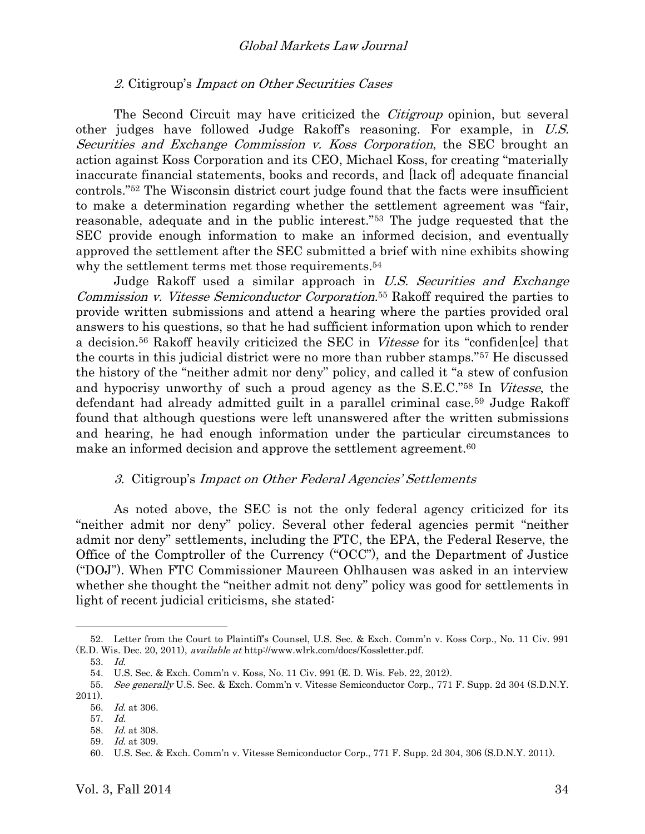#### 2. Citigroup's Impact on Other Securities Cases

The Second Circuit may have criticized the *Citigroup* opinion, but several other judges have followed Judge Rakoff's reasoning. For example, in U.S. Securities and Exchange Commission v. Koss Corporation, the SEC brought an action against Koss Corporation and its CEO, Michael Koss, for creating "materially inaccurate financial statements, books and records, and [lack of] adequate financial controls."<sup>52</sup> The Wisconsin district court judge found that the facts were insufficient to make a determination regarding whether the settlement agreement was "fair, reasonable, adequate and in the public interest."<sup>53</sup> The judge requested that the SEC provide enough information to make an informed decision, and eventually approved the settlement after the SEC submitted a brief with nine exhibits showing why the settlement terms met those requirements. 54

Judge Rakoff used a similar approach in U.S. Securities and Exchange Commission v. Vitesse Semiconductor Corporation.<sup>55</sup> Rakoff required the parties to provide written submissions and attend a hearing where the parties provided oral answers to his questions, so that he had sufficient information upon which to render a decision.<sup>56</sup> Rakoff heavily criticized the SEC in Vitesse for its "confiden[ce] that the courts in this judicial district were no more than rubber stamps."<sup>57</sup> He discussed the history of the "neither admit nor deny" policy, and called it "a stew of confusion and hypocrisy unworthy of such a proud agency as the S.E.C."<sup>58</sup> In Vitesse, the defendant had already admitted guilt in a parallel criminal case.<sup>59</sup> Judge Rakoff found that although questions were left unanswered after the written submissions and hearing, he had enough information under the particular circumstances to make an informed decision and approve the settlement agreement.<sup>60</sup>

#### 3. Citigroup's Impact on Other Federal Agencies' Settlements

As noted above, the SEC is not the only federal agency criticized for its "neither admit nor deny" policy. Several other federal agencies permit "neither admit nor deny" settlements, including the FTC, the EPA, the Federal Reserve, the Office of the Comptroller of the Currency ("OCC"), and the Department of Justice ("DOJ"). When FTC Commissioner Maureen Ohlhausen was asked in an interview whether she thought the "neither admit not deny" policy was good for settlements in light of recent judicial criticisms, she stated:

<sup>52.</sup> Letter from the Court to Plaintiff's Counsel, U.S. Sec. & Exch. Comm'n v. Koss Corp., No. 11 Civ. 991 (E.D. Wis. Dec. 20, 2011), available at http://www.wlrk.com/docs/Kossletter.pdf.

<sup>53.</sup> Id.

<sup>54.</sup> U.S. Sec. & Exch. Comm'n v. Koss, No. 11 Civ. 991 (E. D. Wis. Feb. 22, 2012).

<sup>55.</sup> See generally U.S. Sec. & Exch. Comm'n v. Vitesse Semiconductor Corp., 771 F. Supp. 2d 304 (S.D.N.Y. 2011).

<sup>56.</sup> Id. at 306.

<sup>57.</sup> Id.

<sup>58.</sup> Id. at 308.

<sup>59</sup>. Id. at 309.

<sup>60</sup>. U.S. Sec. & Exch. Comm'n v. Vitesse Semiconductor Corp., 771 F. Supp. 2d 304, 306 (S.D.N.Y. 2011).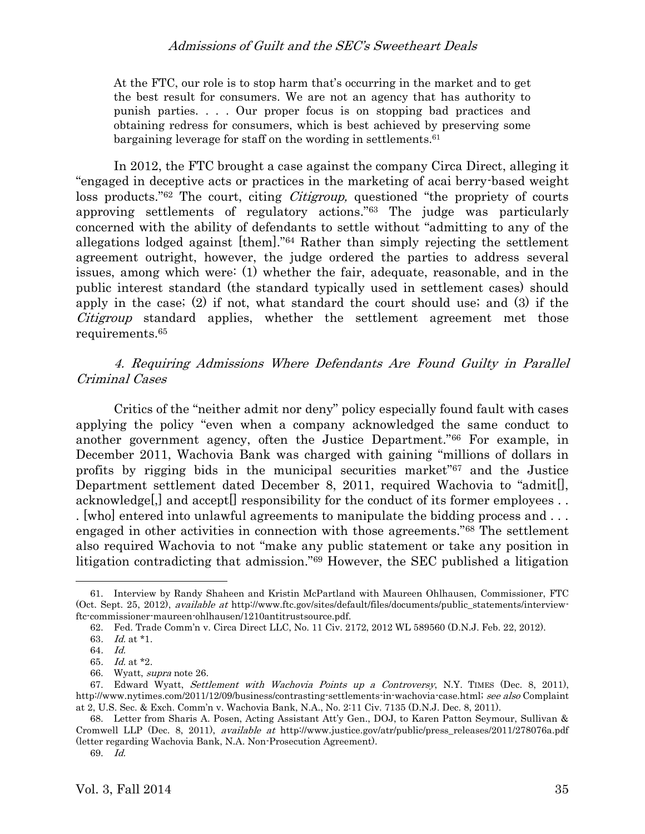## Admissions of Guilt and the SEC's Sweetheart Deals

At the FTC, our role is to stop harm that's occurring in the market and to get the best result for consumers. We are not an agency that has authority to punish parties. . . . Our proper focus is on stopping bad practices and obtaining redress for consumers, which is best achieved by preserving some bargaining leverage for staff on the wording in settlements.<sup>61</sup>

In 2012, the FTC brought a case against the company Circa Direct, alleging it "engaged in deceptive acts or practices in the marketing of acai berry-based weight loss products.<sup>"62</sup> The court, citing *Citigroup*, questioned "the propriety of courts" approving settlements of regulatory actions." <sup>63</sup> The judge was particularly concerned with the ability of defendants to settle without "admitting to any of the allegations lodged against [them]."<sup>64</sup> Rather than simply rejecting the settlement agreement outright, however, the judge ordered the parties to address several issues, among which were: (1) whether the fair, adequate, reasonable, and in the public interest standard (the standard typically used in settlement cases) should apply in the case; (2) if not, what standard the court should use; and (3) if the Citigroup standard applies, whether the settlement agreement met those requirements. 65

# 4. Requiring Admissions Where Defendants Are Found Guilty in Parallel Criminal Cases

Critics of the "neither admit nor deny" policy especially found fault with cases applying the policy "even when a company acknowledged the same conduct to another government agency, often the Justice Department."<sup>66</sup> For example, in December 2011, Wachovia Bank was charged with gaining "millions of dollars in profits by rigging bids in the municipal securities market" <sup>67</sup> and the Justice Department settlement dated December 8, 2011, required Wachovia to "admit[], acknowledge[,] and accept[] responsibility for the conduct of its former employees . . . [who] entered into unlawful agreements to manipulate the bidding process and . . . engaged in other activities in connection with those agreements."<sup>68</sup> The settlement also required Wachovia to not "make any public statement or take any position in litigation contradicting that admission."<sup>69</sup> However, the SEC published a litigation

<sup>61.</sup> Interview by Randy Shaheen and Kristin McPartland with Maureen Ohlhausen, Commissioner, FTC (Oct. Sept. 25, 2012), *available at* http://www.ftc.gov/sites/default/files/documents/public\_statements/interviewftc-commissioner-maureen-ohlhausen/1210antitrustsource.pdf.

<sup>62.</sup> Fed. Trade Comm'n v. Circa Direct LLC, No. 11 Civ. 2172, 2012 WL 589560 (D.N.J. Feb. 22, 2012).

<sup>63</sup>. Id. at \*1.

<sup>64</sup>. Id.

<sup>65</sup>. Id. at \*2.

<sup>66.</sup> Wyatt, supra not[e 26.](#page-3-2)

<sup>67.</sup> Edward Wyatt, Settlement with Wachovia Points up a Controversy, N.Y. TIMES (Dec. 8, 2011), http://www.nytimes.com/2011/12/09/business/contrasting-settlements-in-wachovia-case.html; see also Complaint at 2, U.S. Sec. & Exch. Comm'n v. Wachovia Bank, N.A., No. 2:11 Civ. 7135 (D.N.J. Dec. 8, 2011).

<sup>68.</sup> Letter from Sharis A. Posen, Acting Assistant Att'y Gen., DOJ, to Karen Patton Seymour, Sullivan & Cromwell LLP (Dec. 8, 2011), available at http://www.justice.gov/atr/public/press\_releases/2011/278076a.pdf (letter regarding Wachovia Bank, N.A. Non-Prosecution Agreement).

<sup>69.</sup> Id.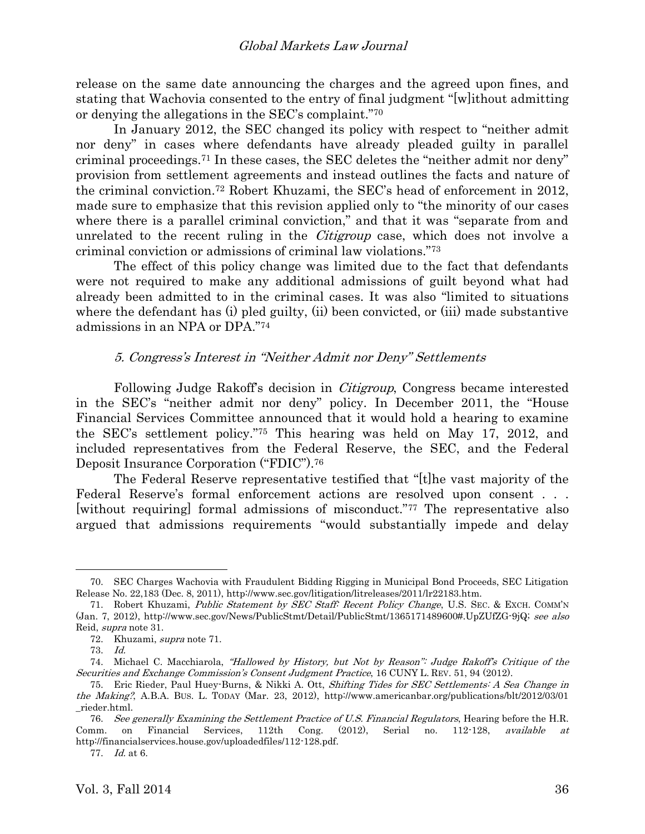release on the same date announcing the charges and the agreed upon fines, and stating that Wachovia consented to the entry of final judgment "[w]ithout admitting or denying the allegations in the SEC's complaint."<sup>70</sup>

<span id="page-9-0"></span>In January 2012, the SEC changed its policy with respect to "neither admit nor deny" in cases where defendants have already pleaded guilty in parallel criminal proceedings.<sup>71</sup> In these cases, the SEC deletes the "neither admit nor deny" provision from settlement agreements and instead outlines the facts and nature of the criminal conviction.<sup>72</sup> Robert Khuzami, the SEC's head of enforcement in 2012, made sure to emphasize that this revision applied only to "the minority of our cases where there is a parallel criminal conviction," and that it was "separate from and unrelated to the recent ruling in the *Citigroup* case, which does not involve a criminal conviction or admissions of criminal law violations."<sup>73</sup>

The effect of this policy change was limited due to the fact that defendants were not required to make any additional admissions of guilt beyond what had already been admitted to in the criminal cases. It was also "limited to situations where the defendant has (i) pled guilty, (ii) been convicted, or (iii) made substantive admissions in an NPA or DPA."<sup>74</sup>

#### <span id="page-9-1"></span>5. Congress's Interest in "Neither Admit nor Deny" Settlements

Following Judge Rakoff's decision in Citigroup, Congress became interested in the SEC's "neither admit nor deny" policy. In December 2011, the "House Financial Services Committee announced that it would hold a hearing to examine the SEC's settlement policy."<sup>75</sup> This hearing was held on May 17, 2012, and included representatives from the Federal Reserve, the SEC, and the Federal Deposit Insurance Corporation ("FDIC").<sup>76</sup>

The Federal Reserve representative testified that "[t]he vast majority of the Federal Reserve's formal enforcement actions are resolved upon consent . . . [without requiring] formal admissions of misconduct."<sup>77</sup> The representative also argued that admissions requirements "would substantially impede and delay

<sup>70.</sup> SEC Charges Wachovia with Fraudulent Bidding Rigging in Municipal Bond Proceeds, SEC Litigation Release No. 22,183 (Dec. 8, 2011), http://www.sec.gov/litigation/litreleases/2011/lr22183.htm.

<sup>71.</sup> Robert Khuzami, Public Statement by SEC Staff: Recent Policy Change, U.S. SEC. & EXCH. COMM'N (Jan. 7, 2012), http://www.sec.gov/News/PublicStmt/Detail/PublicStmt/1365171489600#.UpZUfZG-9jQ; see also Reid, supra note [31.](#page-4-0)

<sup>72.</sup> Khuzami, supra note [71.](#page-9-0)

<sup>73.</sup> Id.

<sup>74.</sup> Michael C. Macchiarola, "Hallowed by History, but Not by Reason": Judge Rakoff's Critique of the Securities and Exchange Commission's Consent Judgment Practice, 16 CUNY L. REV. 51, 94 (2012).

<sup>75.</sup> Eric Rieder, Paul Huey-Burns, & Nikki A. Ott, Shifting Tides for SEC Settlements: A Sea Change in the Making?, A.B.A. BUS. L. TODAY (Mar. 23, 2012), http://www.americanbar.org/publications/blt/2012/03/01 \_rieder.html.

<sup>76.</sup> See generally Examining the Settlement Practice of U.S. Financial Regulators, Hearing before the H.R. Comm. on Financial Services, 112th Cong. (2012), Serial no. 112-128, available at http://financialservices.house.gov/uploadedfiles/112-128.pdf.

<sup>77.</sup> Id. at 6.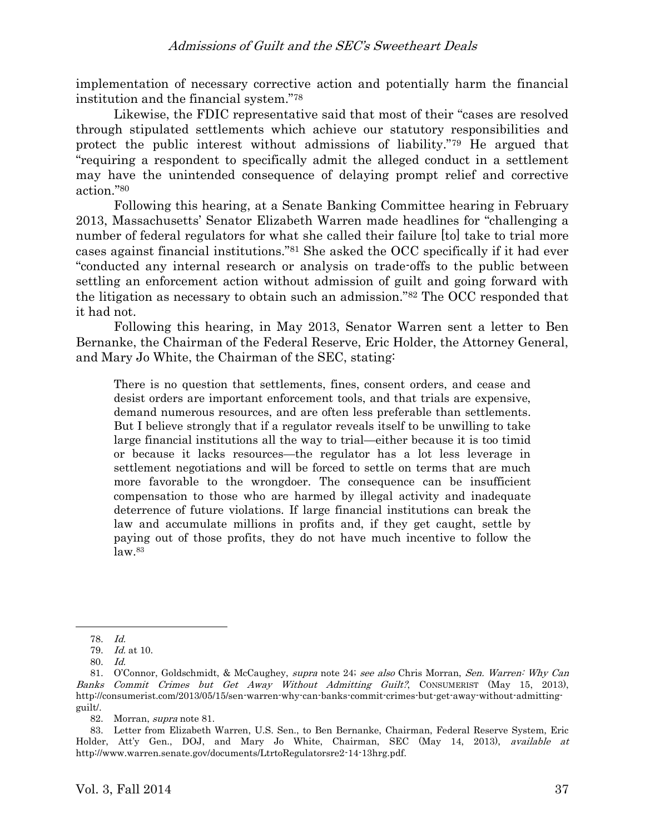implementation of necessary corrective action and potentially harm the financial institution and the financial system."<sup>78</sup>

Likewise, the FDIC representative said that most of their "cases are resolved through stipulated settlements which achieve our statutory responsibilities and protect the public interest without admissions of liability."<sup>79</sup> He argued that "requiring a respondent to specifically admit the alleged conduct in a settlement may have the unintended consequence of delaying prompt relief and corrective action."<sup>80</sup>

<span id="page-10-0"></span>Following this hearing, at a Senate Banking Committee hearing in February 2013, Massachusetts' Senator Elizabeth Warren made headlines for "challenging a number of federal regulators for what she called their failure [to] take to trial more cases against financial institutions."<sup>81</sup> She asked the OCC specifically if it had ever "conducted any internal research or analysis on trade-offs to the public between settling an enforcement action without admission of guilt and going forward with the litigation as necessary to obtain such an admission."<sup>82</sup> The OCC responded that it had not.

Following this hearing, in May 2013, Senator Warren sent a letter to Ben Bernanke, the Chairman of the Federal Reserve, Eric Holder, the Attorney General, and Mary Jo White, the Chairman of the SEC, stating:

There is no question that settlements, fines, consent orders, and cease and desist orders are important enforcement tools, and that trials are expensive, demand numerous resources, and are often less preferable than settlements. But I believe strongly that if a regulator reveals itself to be unwilling to take large financial institutions all the way to trial—either because it is too timid or because it lacks resources—the regulator has a lot less leverage in settlement negotiations and will be forced to settle on terms that are much more favorable to the wrongdoer. The consequence can be insufficient compensation to those who are harmed by illegal activity and inadequate deterrence of future violations. If large financial institutions can break the law and accumulate millions in profits and, if they get caught, settle by paying out of those profits, they do not have much incentive to follow the  $law.<sup>83</sup>$ 

 $\overline{a}$ 

82. Morran, supra not[e 81.](#page-10-0)

83. Letter from Elizabeth Warren, U.S. Sen., to Ben Bernanke, Chairman, Federal Reserve System, Eric Holder, Att'y Gen., DOJ, and Mary Jo White, Chairman, SEC (May 14, 2013), available at http://www.warren.senate.gov/documents/LtrtoRegulatorsre2-14-13hrg.pdf.

<sup>78.</sup> Id.

<sup>79.</sup> Id. at 10.

<sup>80.</sup> Id.

<sup>81.</sup> O'Connor, Goldschmidt, & McCaughey, supra note [24;](#page-3-0) see also Chris Morran, Sen. Warren: Why Can Banks Commit Crimes but Get Away Without Admitting Guilt?, CONSUMERIST (May 15, 2013), http://consumerist.com/2013/05/15/sen-warren-why-can-banks-commit-crimes-but-get-away-without-admittingguilt/.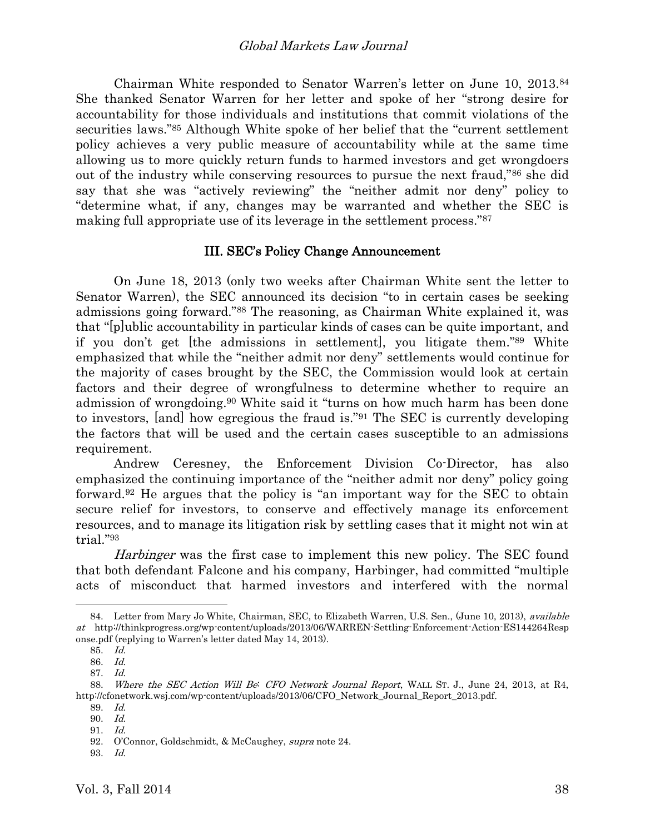Chairman White responded to Senator Warren's letter on June 10, 2013.<sup>84</sup> She thanked Senator Warren for her letter and spoke of her "strong desire for accountability for those individuals and institutions that commit violations of the securities laws."<sup>85</sup> Although White spoke of her belief that the "current settlement policy achieves a very public measure of accountability while at the same time allowing us to more quickly return funds to harmed investors and get wrongdoers out of the industry while conserving resources to pursue the next fraud,"<sup>86</sup> she did say that she was "actively reviewing" the "neither admit nor deny" policy to "determine what, if any, changes may be warranted and whether the SEC is making full appropriate use of its leverage in the settlement process."<sup>87</sup>

#### III. SEC's Policy Change Announcement

On June 18, 2013 (only two weeks after Chairman White sent the letter to Senator Warren), the SEC announced its decision "to in certain cases be seeking admissions going forward."<sup>88</sup> The reasoning, as Chairman White explained it, was that "[p]ublic accountability in particular kinds of cases can be quite important, and if you don't get [the admissions in settlement], you litigate them."<sup>89</sup> White emphasized that while the "neither admit nor deny" settlements would continue for the majority of cases brought by the SEC, the Commission would look at certain factors and their degree of wrongfulness to determine whether to require an admission of wrongdoing. <sup>90</sup> White said it "turns on how much harm has been done to investors, [and] how egregious the fraud is."<sup>91</sup> The SEC is currently developing the factors that will be used and the certain cases susceptible to an admissions requirement.

Andrew Ceresney, the Enforcement Division Co-Director, has also emphasized the continuing importance of the "neither admit nor deny" policy going forward.<sup>92</sup> He argues that the policy is "an important way for the SEC to obtain secure relief for investors, to conserve and effectively manage its enforcement resources, and to manage its litigation risk by settling cases that it might not win at trial."<sup>93</sup>

Harbinger was the first case to implement this new policy. The SEC found that both defendant Falcone and his company, Harbinger, had committed "multiple acts of misconduct that harmed investors and interfered with the normal

<sup>84.</sup> Letter from Mary Jo White, Chairman, SEC, to Elizabeth Warren, U.S. Sen., (June 10, 2013), *available* at http://thinkprogress.org/wp-content/uploads/2013/06/WARREN-Settling-Enforcement-Action-ES144264Resp onse.pdf (replying to Warren's letter dated May 14, 2013).

<sup>85.</sup> Id.

<sup>86.</sup> Id.

<sup>87.</sup> Id.

<sup>88.</sup> Where the SEC Action Will Be: CFO Network Journal Report, WALL ST. J., June 24, 2013, at R4, http://cfonetwork.wsj.com/wp-content/uploads/2013/06/CFO\_Network\_Journal\_Report\_2013.pdf.

<sup>89.</sup> Id.

<sup>90.</sup> Id.

<sup>91.</sup> Id.

<sup>92.</sup> O'Connor, Goldschmidt, & McCaughey, supra note [24.](#page-3-0)

<sup>93.</sup> Id.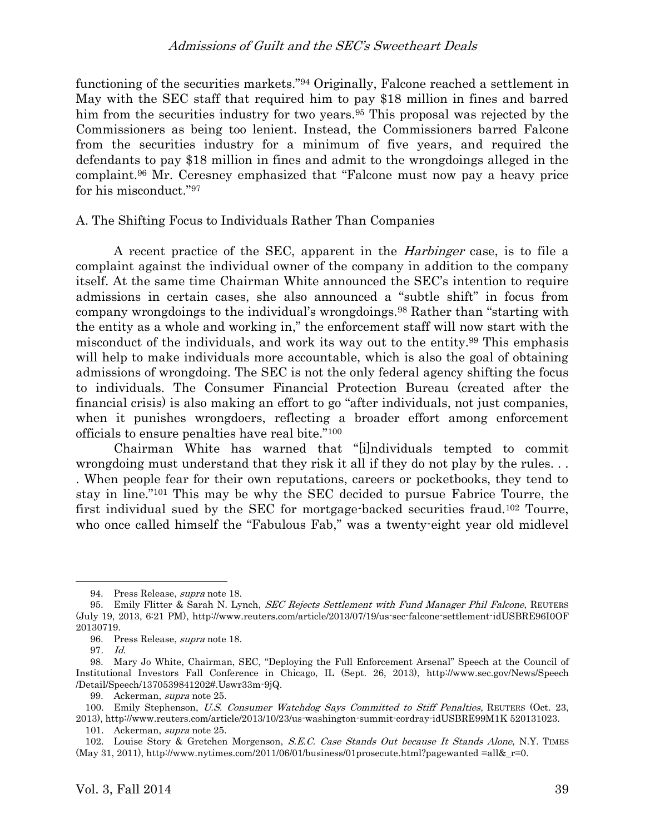## Admissions of Guilt and the SEC's Sweetheart Deals

functioning of the securities markets."<sup>94</sup> Originally, Falcone reached a settlement in May with the SEC staff that required him to pay \$18 million in fines and barred him from the securities industry for two years. <sup>95</sup> This proposal was rejected by the Commissioners as being too lenient. Instead, the Commissioners barred Falcone from the securities industry for a minimum of five years, and required the defendants to pay \$18 million in fines and admit to the wrongdoings alleged in the complaint.<sup>96</sup> Mr. Ceresney emphasized that "Falcone must now pay a heavy price for his misconduct."<sup>97</sup>

#### A. The Shifting Focus to Individuals Rather Than Companies

<span id="page-12-0"></span>A recent practice of the SEC, apparent in the *Harbinger* case, is to file a complaint against the individual owner of the company in addition to the company itself. At the same time Chairman White announced the SEC's intention to require admissions in certain cases, she also announced a "subtle shift" in focus from company wrongdoings to the individual's wrongdoings.<sup>98</sup> Rather than "starting with the entity as a whole and working in," the enforcement staff will now start with the misconduct of the individuals, and work its way out to the entity.<sup>99</sup> This emphasis will help to make individuals more accountable, which is also the goal of obtaining admissions of wrongdoing. The SEC is not the only federal agency shifting the focus to individuals. The Consumer Financial Protection Bureau (created after the financial crisis) is also making an effort to go "after individuals, not just companies, when it punishes wrongdoers, reflecting a broader effort among enforcement officials to ensure penalties have real bite."<sup>100</sup>

Chairman White has warned that "[i]ndividuals tempted to commit wrongdoing must understand that they risk it all if they do not play by the rules. . . . When people fear for their own reputations, careers or pocketbooks, they tend to stay in line."<sup>101</sup> This may be why the SEC decided to pursue Fabrice Tourre, the first individual sued by the SEC for mortgage-backed securities fraud.<sup>102</sup> Tourre, who once called himself the "Fabulous Fab," was a twenty-eight year old midlevel

<sup>94.</sup> Press Release, supra note [18.](#page-2-0)

<sup>95.</sup> Emily Flitter & Sarah N. Lynch, SEC Rejects Settlement with Fund Manager Phil Falcone, REUTERS (July 19, 2013, 6:21 PM), http://www.reuters.com/article/2013/07/19/us-sec-falcone-settlement-idUSBRE96I0OF 20130719.

<sup>96.</sup> Press Release, supra note [18.](#page-2-0)

<sup>97</sup>. Id.

<sup>98.</sup> Mary Jo White, Chairman, SEC, "Deploying the Full Enforcement Arsenal" Speech at the Council of Institutional Investors Fall Conference in Chicago, IL (Sept. 26, 2013), http://www.sec.gov/News/Speech /Detail/Speech/1370539841202#.Uswr33m-9jQ.

<sup>99.</sup> Ackerman, supra not[e 25.](#page-3-1)

<sup>100.</sup> Emily Stephenson, U.S. Consumer Watchdog Says Committed to Stiff Penalties, REUTERS (Oct. 23, 2013), http://www.reuters.com/article/2013/10/23/us-washington-summit-cordray-idUSBRE99M1K 520131023.

<sup>101.</sup> Ackerman, supra not[e 25.](#page-3-1)

<sup>102.</sup> Louise Story & Gretchen Morgenson, S.E.C. Case Stands Out because It Stands Alone, N.Y. TIMES (May 31, 2011), http://www.nytimes.com/2011/06/01/business/01prosecute.html?pagewanted =all&\_r=0.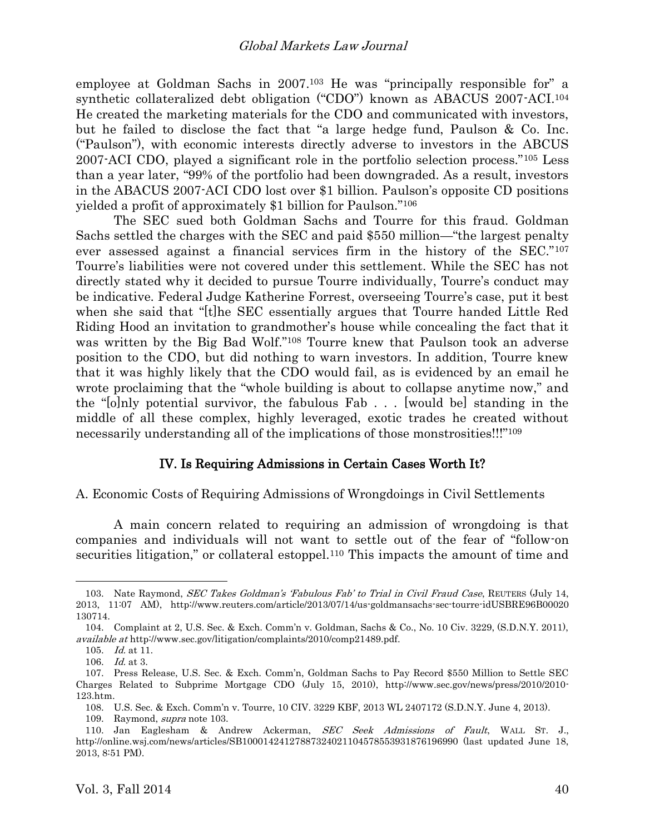<span id="page-13-0"></span>employee at Goldman Sachs in 2007. <sup>103</sup> He was "principally responsible for" a synthetic collateralized debt obligation ("CDO") known as ABACUS 2007-ACI.<sup>104</sup> He created the marketing materials for the CDO and communicated with investors, but he failed to disclose the fact that "a large hedge fund, Paulson & Co. Inc. ("Paulson"), with economic interests directly adverse to investors in the ABCUS 2007-ACI CDO, played a significant role in the portfolio selection process."<sup>105</sup> Less than a year later, "99% of the portfolio had been downgraded. As a result, investors in the ABACUS 2007-ACI CDO lost over \$1 billion. Paulson's opposite CD positions yielded a profit of approximately \$1 billion for Paulson."<sup>106</sup>

The SEC sued both Goldman Sachs and Tourre for this fraud. Goldman Sachs settled the charges with the SEC and paid \$550 million—"the largest penalty ever assessed against a financial services firm in the history of the SEC."<sup>107</sup> Tourre's liabilities were not covered under this settlement. While the SEC has not directly stated why it decided to pursue Tourre individually, Tourre's conduct may be indicative. Federal Judge Katherine Forrest, overseeing Tourre's case, put it best when she said that "[t]he SEC essentially argues that Tourre handed Little Red Riding Hood an invitation to grandmother's house while concealing the fact that it was written by the Big Bad Wolf."<sup>108</sup> Tourre knew that Paulson took an adverse position to the CDO, but did nothing to warn investors. In addition, Tourre knew that it was highly likely that the CDO would fail, as is evidenced by an email he wrote proclaiming that the "whole building is about to collapse anytime now," and the "[o]nly potential survivor, the fabulous Fab . . . [would be] standing in the middle of all these complex, highly leveraged, exotic trades he created without necessarily understanding all of the implications of those monstrosities!!!"<sup>109</sup>

## <span id="page-13-1"></span>IV. Is Requiring Admissions in Certain Cases Worth It?

#### A. Economic Costs of Requiring Admissions of Wrongdoings in Civil Settlements

A main concern related to requiring an admission of wrongdoing is that companies and individuals will not want to settle out of the fear of "follow-on securities litigation," or collateral estoppel.<sup>110</sup> This impacts the amount of time and

<sup>103.</sup> Nate Raymond, *SEC Takes Goldman's 'Fabulous Fab' to Trial in Civil Fraud Case*, REUTERS (July 14, 2013, 11:07 AM), http://www.reuters.com/article/2013/07/14/us-goldmansachs-sec-tourre-idUSBRE96B00020 130714.

<sup>104.</sup> Complaint at 2, U.S. Sec. & Exch. Comm'n v. Goldman, Sachs & Co., No. 10 Civ. 3229, (S.D.N.Y. 2011), available at http://www.sec.gov/litigation/complaints/2010/comp21489.pdf.

<sup>105.</sup> Id. at 11.

<sup>106.</sup> Id. at 3.

<sup>107.</sup> Press Release, U.S. Sec. & Exch. Comm'n, Goldman Sachs to Pay Record \$550 Million to Settle SEC Charges Related to Subprime Mortgage CDO (July 15, 2010), http://www.sec.gov/news/press/2010/2010- 123.htm.

<sup>108.</sup> U.S. Sec. & Exch. Comm'n v. Tourre, 10 CIV. 3229 KBF, 2013 WL 2407172 (S.D.N.Y. June 4, 2013).

<sup>109.</sup> Raymond, supra note [103.](#page-13-0)

<sup>110.</sup> Jan Eaglesham & Andrew Ackerman, SEC Seek Admissions of Fault, WALL ST. J., http://online.wsj.com/news/articles/SB10001424127887324021104578553931876196990 (last updated June 18, 2013, 8:51 PM).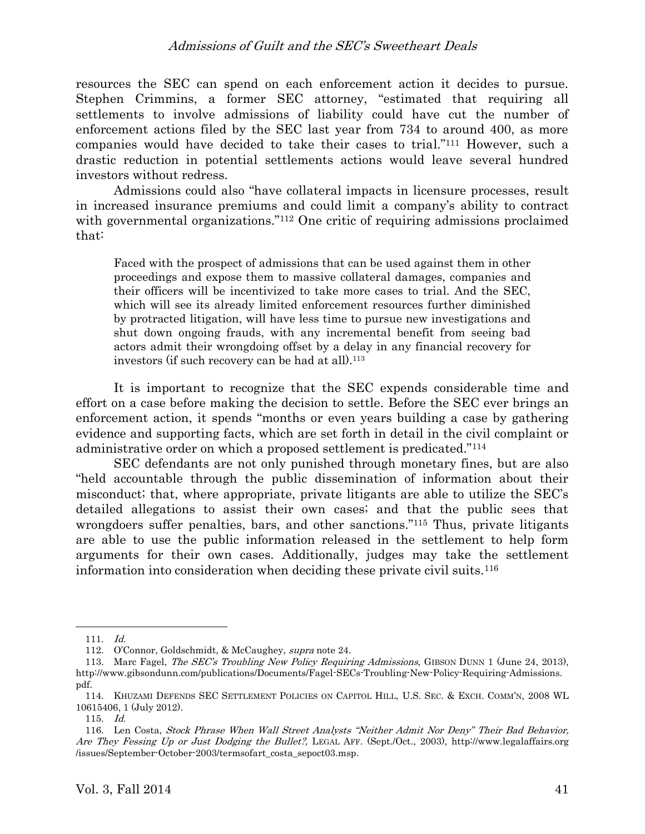## Admissions of Guilt and the SEC's Sweetheart Deals

resources the SEC can spend on each enforcement action it decides to pursue. Stephen Crimmins, a former SEC attorney, "estimated that requiring all settlements to involve admissions of liability could have cut the number of enforcement actions filed by the SEC last year from 734 to around 400, as more companies would have decided to take their cases to trial."<sup>111</sup> However, such a drastic reduction in potential settlements actions would leave several hundred investors without redress.

Admissions could also "have collateral impacts in licensure processes, result in increased insurance premiums and could limit a company's ability to contract with governmental organizations."<sup>112</sup> One critic of requiring admissions proclaimed that:

<span id="page-14-0"></span>Faced with the prospect of admissions that can be used against them in other proceedings and expose them to massive collateral damages, companies and their officers will be incentivized to take more cases to trial. And the SEC, which will see its already limited enforcement resources further diminished by protracted litigation, will have less time to pursue new investigations and shut down ongoing frauds, with any incremental benefit from seeing bad actors admit their wrongdoing offset by a delay in any financial recovery for investors (if such recovery can be had at all).<sup>113</sup>

It is important to recognize that the SEC expends considerable time and effort on a case before making the decision to settle. Before the SEC ever brings an enforcement action, it spends "months or even years building a case by gathering evidence and supporting facts, which are set forth in detail in the civil complaint or administrative order on which a proposed settlement is predicated."<sup>114</sup>

SEC defendants are not only punished through monetary fines, but are also "held accountable through the public dissemination of information about their misconduct; that, where appropriate, private litigants are able to utilize the SEC's detailed allegations to assist their own cases; and that the public sees that wrongdoers suffer penalties, bars, and other sanctions." <sup>115</sup> Thus, private litigants are able to use the public information released in the settlement to help form arguments for their own cases. Additionally, judges may take the settlement information into consideration when deciding these private civil suits.<sup>116</sup>

<sup>111.</sup> Id.

<sup>112.</sup> O'Connor, Goldschmidt, & McCaughey, supra note [24.](#page-3-0)

<sup>113.</sup> Marc Fagel, *The SEC's Troubling New Policy Requiring Admissions*, GIBSON DUNN 1 (June 24, 2013), http://www.gibsondunn.com/publications/Documents/Fagel-SECs-Troubling-New-Policy-Requiring-Admissions. pdf.

<sup>114.</sup> KHUZAMI DEFENDS SEC SETTLEMENT POLICIES ON CAPITOL HILL, U.S. SEC. & EXCH. COMM'N, 2008 WL 10615406, 1 (July 2012).

<sup>115.</sup> Id.

<sup>116.</sup> Len Costa, Stock Phrase When Wall Street Analysts "Neither Admit Nor Deny" Their Bad Behavior, Are They Fessing Up or Just Dodging the Bullet?, LEGAL AFF. (Sept./Oct., 2003), http://www.legalaffairs.org /issues/September-October-2003/termsofart\_costa\_sepoct03.msp.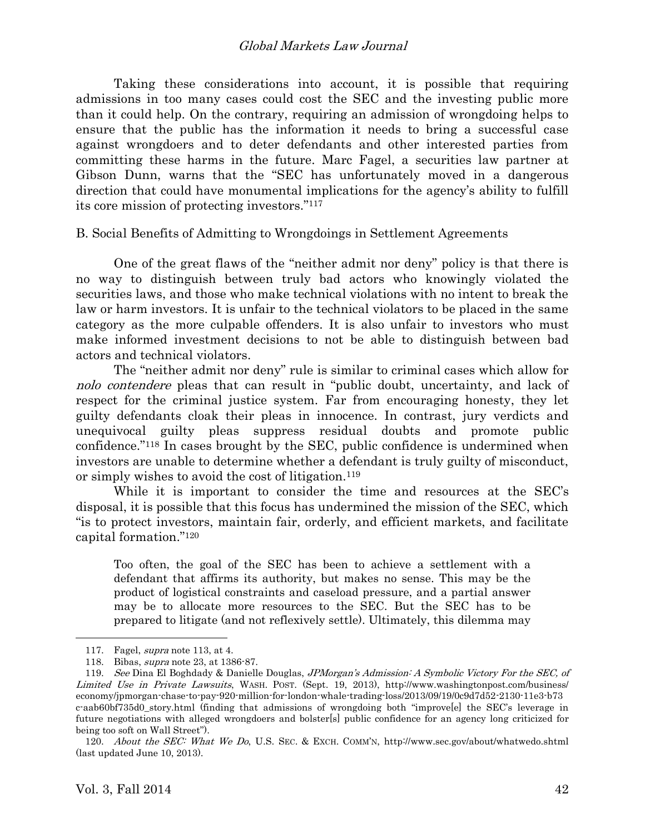Taking these considerations into account, it is possible that requiring admissions in too many cases could cost the SEC and the investing public more than it could help. On the contrary, requiring an admission of wrongdoing helps to ensure that the public has the information it needs to bring a successful case against wrongdoers and to deter defendants and other interested parties from committing these harms in the future. Marc Fagel, a securities law partner at Gibson Dunn, warns that the "SEC has unfortunately moved in a dangerous direction that could have monumental implications for the agency's ability to fulfill its core mission of protecting investors."<sup>117</sup>

#### B. Social Benefits of Admitting to Wrongdoings in Settlement Agreements

One of the great flaws of the "neither admit nor deny" policy is that there is no way to distinguish between truly bad actors who knowingly violated the securities laws, and those who make technical violations with no intent to break the law or harm investors. It is unfair to the technical violators to be placed in the same category as the more culpable offenders. It is also unfair to investors who must make informed investment decisions to not be able to distinguish between bad actors and technical violators.

The "neither admit nor deny" rule is similar to criminal cases which allow for nolo contendere pleas that can result in "public doubt, uncertainty, and lack of respect for the criminal justice system. Far from encouraging honesty, they let guilty defendants cloak their pleas in innocence. In contrast, jury verdicts and unequivocal guilty pleas suppress residual doubts and promote public confidence."<sup>118</sup> In cases brought by the SEC, public confidence is undermined when investors are unable to determine whether a defendant is truly guilty of misconduct, or simply wishes to avoid the cost of litigation.<sup>119</sup>

While it is important to consider the time and resources at the SEC's disposal, it is possible that this focus has undermined the mission of the SEC, which "is to protect investors, maintain fair, orderly, and efficient markets, and facilitate capital formation."<sup>120</sup>

Too often, the goal of the SEC has been to achieve a settlement with a defendant that affirms its authority, but makes no sense. This may be the product of logistical constraints and caseload pressure, and a partial answer may be to allocate more resources to the SEC. But the SEC has to be prepared to litigate (and not reflexively settle). Ultimately, this dilemma may

<sup>117.</sup> Fagel, supra note [113,](#page-14-0) at 4.

<sup>118.</sup> Bibas, supra note [23,](#page-3-3) at 1386-87.

<sup>119.</sup> See Dina El Boghdady & Danielle Douglas, JPMorgan's Admission: A Symbolic Victory For the SEC, of Limited Use in Private Lawsuits, WASH. POST. (Sept. 19, 2013), http://www.washingtonpost.com/business/ economy/jpmorgan-chase-to-pay-920-million-for-london-whale-trading-loss/2013/09/19/0c9d7d52-2130-11e3-b73 c-aab60bf735d0\_story.html (finding that admissions of wrongdoing both "improve[e] the SEC's leverage in future negotiations with alleged wrongdoers and bolster[s] public confidence for an agency long criticized for being too soft on Wall Street").

<sup>120.</sup> About the SEC: What We Do, U.S. SEC. & EXCH. COMM'N, http://www.sec.gov/about/whatwedo.shtml (last updated June 10, 2013).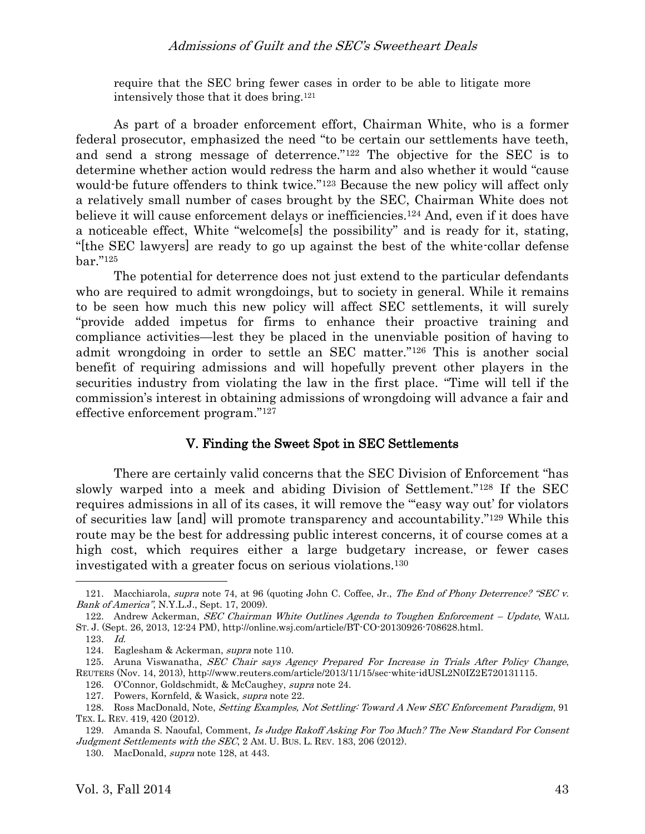require that the SEC bring fewer cases in order to be able to litigate more intensively those that it does bring.<sup>121</sup>

As part of a broader enforcement effort, Chairman White, who is a former federal prosecutor, emphasized the need "to be certain our settlements have teeth, and send a strong message of deterrence."<sup>122</sup> The objective for the SEC is to determine whether action would redress the harm and also whether it would "cause would-be future offenders to think twice."<sup>123</sup> Because the new policy will affect only a relatively small number of cases brought by the SEC, Chairman White does not believe it will cause enforcement delays or inefficiencies.<sup>124</sup> And, even if it does have a noticeable effect, White "welcome[s] the possibility" and is ready for it, stating, "[the SEC lawyers] are ready to go up against the best of the white-collar defense bar."<sup>125</sup>

The potential for deterrence does not just extend to the particular defendants who are required to admit wrongdoings, but to society in general. While it remains to be seen how much this new policy will affect SEC settlements, it will surely "provide added impetus for firms to enhance their proactive training and compliance activities—lest they be placed in the unenviable position of having to admit wrongdoing in order to settle an SEC matter."<sup>126</sup> This is another social benefit of requiring admissions and will hopefully prevent other players in the securities industry from violating the law in the first place. "Time will tell if the commission's interest in obtaining admissions of wrongdoing will advance a fair and effective enforcement program."<sup>127</sup>

## <span id="page-16-0"></span>V. Finding the Sweet Spot in SEC Settlements

There are certainly valid concerns that the SEC Division of Enforcement "has slowly warped into a meek and abiding Division of Settlement."<sup>128</sup> If the SEC requires admissions in all of its cases, it will remove the "'easy way out' for violators of securities law [and] will promote transparency and accountability."<sup>129</sup> While this route may be the best for addressing public interest concerns, it of course comes at a high cost, which requires either a large budgetary increase, or fewer cases investigated with a greater focus on serious violations.<sup>130</sup>

<sup>121.</sup> Macchiarola, supra note [74,](#page-9-1) at 96 (quoting John C. Coffee, Jr., The End of Phony Deterrence? "SEC v. Bank of America", N.Y.L.J., Sept. 17, 2009).

<sup>122.</sup> Andrew Ackerman, SEC Chairman White Outlines Agenda to Toughen Enforcement – Update, WALL ST. J. (Sept. 26, 2013, 12:24 PM), http://online.wsj.com/article/BT-CO-20130926-708628.html.

<sup>123.</sup> Id.

<sup>124.</sup> Eaglesham & Ackerman, supra note [110.](#page-13-1)

<sup>125.</sup> Aruna Viswanatha, SEC Chair says Agency Prepared For Increase in Trials After Policy Change, REUTERS (Nov. 14, 2013), http://www.reuters.com/article/2013/11/15/sec-white-idUSL2N0IZ2E720131115.

<sup>126.</sup> O'Connor, Goldschmidt, & McCaughey, supra note [24.](#page-3-0)

<sup>127.</sup> Powers, Kornfeld, & Wasick, supra not[e 22.](#page-2-1)

<sup>128.</sup> Ross MacDonald, Note, Setting Examples, Not Settling: Toward A New SEC Enforcement Paradigm, 91 TEX. L. REV. 419, 420 (2012).

<sup>129.</sup> Amanda S. Naoufal, Comment, Is Judge Rakoff Asking For Too Much? The New Standard For Consent Judgment Settlements with the SEC, 2 AM. U. BUS. L. REV. 183, 206 (2012).

<sup>130.</sup> MacDonald, supra note [128,](#page-16-0) at 443.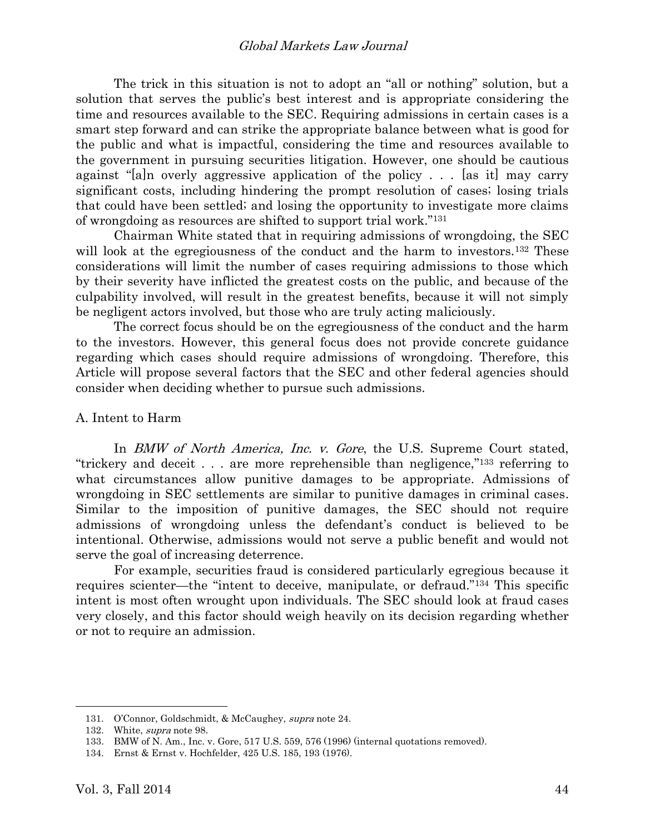The trick in this situation is not to adopt an "all or nothing" solution, but a solution that serves the public's best interest and is appropriate considering the time and resources available to the SEC. Requiring admissions in certain cases is a smart step forward and can strike the appropriate balance between what is good for the public and what is impactful, considering the time and resources available to the government in pursuing securities litigation. However, one should be cautious against "[a]n overly aggressive application of the policy . . . [as it] may carry significant costs, including hindering the prompt resolution of cases; losing trials that could have been settled; and losing the opportunity to investigate more claims of wrongdoing as resources are shifted to support trial work."<sup>131</sup>

Chairman White stated that in requiring admissions of wrongdoing, the SEC will look at the egregiousness of the conduct and the harm to investors.<sup>132</sup> These considerations will limit the number of cases requiring admissions to those which by their severity have inflicted the greatest costs on the public, and because of the culpability involved, will result in the greatest benefits, because it will not simply be negligent actors involved, but those who are truly acting maliciously.

The correct focus should be on the egregiousness of the conduct and the harm to the investors. However, this general focus does not provide concrete guidance regarding which cases should require admissions of wrongdoing. Therefore, this Article will propose several factors that the SEC and other federal agencies should consider when deciding whether to pursue such admissions.

#### A. Intent to Harm

In *BMW of North America, Inc. v. Gore*, the U.S. Supreme Court stated, "trickery and deceit . . . are more reprehensible than negligence," <sup>133</sup> referring to what circumstances allow punitive damages to be appropriate. Admissions of wrongdoing in SEC settlements are similar to punitive damages in criminal cases. Similar to the imposition of punitive damages, the SEC should not require admissions of wrongdoing unless the defendant's conduct is believed to be intentional. Otherwise, admissions would not serve a public benefit and would not serve the goal of increasing deterrence.

For example, securities fraud is considered particularly egregious because it requires scienter—the "intent to deceive, manipulate, or defraud."<sup>134</sup> This specific intent is most often wrought upon individuals. The SEC should look at fraud cases very closely, and this factor should weigh heavily on its decision regarding whether or not to require an admission.

<sup>131.</sup> O'Connor, Goldschmidt, & McCaughey, supra note [24.](#page-3-0)

<sup>132.</sup> White, *supra* note [98.](#page-12-0)

<sup>133</sup>. BMW of N. Am., Inc. v. Gore, 517 U.S. 559, 576 (1996) (internal quotations removed).

<sup>134.</sup> Ernst & Ernst v. Hochfelder, 425 U.S. 185, 193 (1976).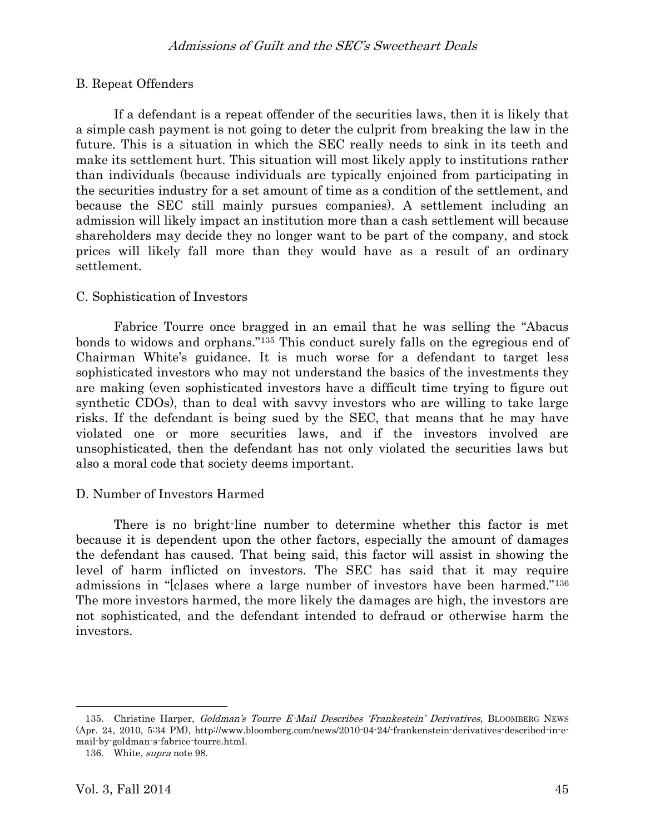# B. Repeat Offenders

If a defendant is a repeat offender of the securities laws, then it is likely that a simple cash payment is not going to deter the culprit from breaking the law in the future. This is a situation in which the SEC really needs to sink in its teeth and make its settlement hurt. This situation will most likely apply to institutions rather than individuals (because individuals are typically enjoined from participating in the securities industry for a set amount of time as a condition of the settlement, and because the SEC still mainly pursues companies). A settlement including an admission will likely impact an institution more than a cash settlement will because shareholders may decide they no longer want to be part of the company, and stock prices will likely fall more than they would have as a result of an ordinary settlement.

## C. Sophistication of Investors

Fabrice Tourre once bragged in an email that he was selling the "Abacus bonds to widows and orphans."<sup>135</sup> This conduct surely falls on the egregious end of Chairman White's guidance. It is much worse for a defendant to target less sophisticated investors who may not understand the basics of the investments they are making (even sophisticated investors have a difficult time trying to figure out synthetic CDOs), than to deal with savvy investors who are willing to take large risks. If the defendant is being sued by the SEC, that means that he may have violated one or more securities laws, and if the investors involved are unsophisticated, then the defendant has not only violated the securities laws but also a moral code that society deems important.

# D. Number of Investors Harmed

There is no bright-line number to determine whether this factor is met because it is dependent upon the other factors, especially the amount of damages the defendant has caused. That being said, this factor will assist in showing the level of harm inflicted on investors. The SEC has said that it may require admissions in "[c]ases where a large number of investors have been harmed."<sup>136</sup> The more investors harmed, the more likely the damages are high, the investors are not sophisticated, and the defendant intended to defraud or otherwise harm the investors.

<sup>135.</sup> Christine Harper, Goldman's Tourre E-Mail Describes 'Frankestein' Derivatives, BLOOMBERG NEWS (Apr. 24, 2010, 5:34 PM), http://www.bloomberg.com/news/2010-04-24/-frankenstein-derivatives-described-in-email-by-goldman-s-fabrice-tourre.html.

<sup>136.</sup> White, supra note [98.](#page-12-0)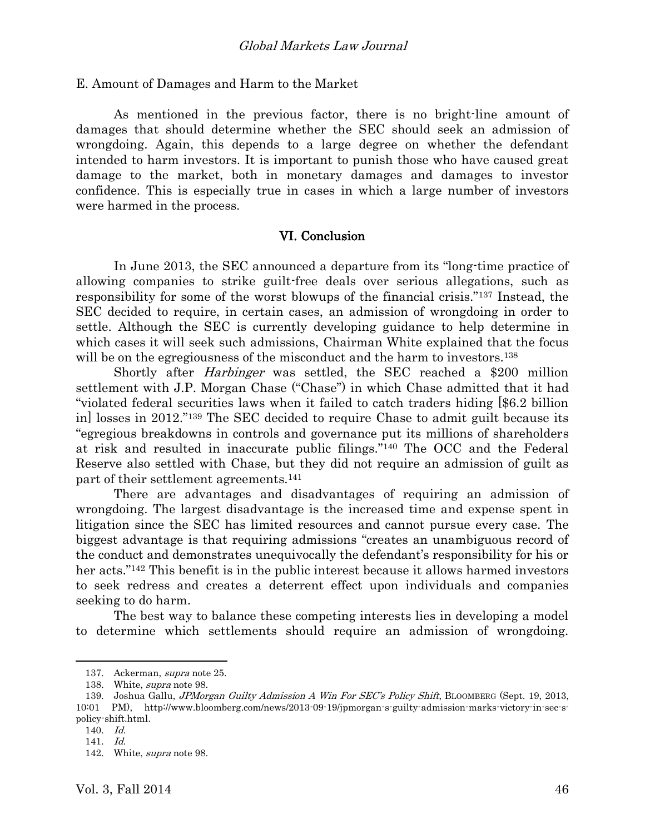E. Amount of Damages and Harm to the Market

As mentioned in the previous factor, there is no bright-line amount of damages that should determine whether the SEC should seek an admission of wrongdoing. Again, this depends to a large degree on whether the defendant intended to harm investors. It is important to punish those who have caused great damage to the market, both in monetary damages and damages to investor confidence. This is especially true in cases in which a large number of investors were harmed in the process.

#### VI. Conclusion

 In June 2013, the SEC announced a departure from its "long-time practice of allowing companies to strike guilt-free deals over serious allegations, such as responsibility for some of the worst blowups of the financial crisis."<sup>137</sup> Instead, the SEC decided to require, in certain cases, an admission of wrongdoing in order to settle. Although the SEC is currently developing guidance to help determine in which cases it will seek such admissions, Chairman White explained that the focus will be on the egregiousness of the misconduct and the harm to investors.<sup>138</sup>

Shortly after Harbinger was settled, the SEC reached a \$200 million settlement with J.P. Morgan Chase ("Chase") in which Chase admitted that it had "violated federal securities laws when it failed to catch traders hiding [\$6.2 billion in] losses in 2012."<sup>139</sup> The SEC decided to require Chase to admit guilt because its "egregious breakdowns in controls and governance put its millions of shareholders at risk and resulted in inaccurate public filings."<sup>140</sup> The OCC and the Federal Reserve also settled with Chase, but they did not require an admission of guilt as part of their settlement agreements. 141

There are advantages and disadvantages of requiring an admission of wrongdoing. The largest disadvantage is the increased time and expense spent in litigation since the SEC has limited resources and cannot pursue every case. The biggest advantage is that requiring admissions "creates an unambiguous record of the conduct and demonstrates unequivocally the defendant's responsibility for his or her acts."<sup>142</sup> This benefit is in the public interest because it allows harmed investors to seek redress and creates a deterrent effect upon individuals and companies seeking to do harm.

The best way to balance these competing interests lies in developing a model to determine which settlements should require an admission of wrongdoing.

<sup>137.</sup> Ackerman, supra not[e 25.](#page-3-1)

<sup>138.</sup> White, *supra* note [98.](#page-12-0)

<sup>139.</sup> Joshua Gallu, JPMorgan Guilty Admission A Win For SEC's Policy Shift, BLOOMBERG (Sept. 19, 2013, 10:01 PM), http://www.bloomberg.com/news/2013-09-19/jpmorgan-s-guilty-admission-marks-victory-in-sec-spolicy-shift.html.

<sup>140.</sup> Id.

<sup>141.</sup> Id.

<sup>142.</sup> White, supra note [98.](#page-12-0)